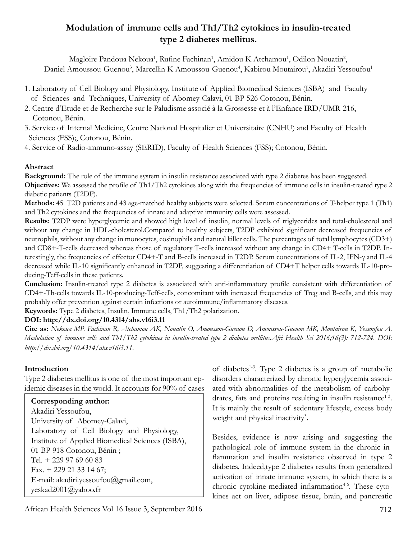# **Modulation of immune cells and Th1/Th2 cytokines in insulin-treated type 2 diabetes mellitus.**

Magloire Pandoua Nekoua<sup>1</sup>, Rufine Fachinan<sup>1</sup>, Amidou K Atchamou<sup>1</sup>, Odilon Nouatin<sup>2</sup>, Daniel Amoussou-Guenou<sup>3</sup>, Marcellin K Amoussou-Guenou<sup>4</sup>, Kabirou Moutairou<sup>1</sup>, Akadiri Yessoufou<sup>1</sup>

- 1. Laboratory of Cell Biology and Physiology, Institute of Applied Biomedical Sciences (ISBA) and Faculty of Sciences and Techniques, University of Abomey-Calavi, 01 BP 526 Cotonou, Bénin.
- 2. Centre d'Etude et de Recherche sur le Paludisme associé à la Grossesse et à l'Enfance IRD/UMR-216, Cotonou, Bénin.
- 3. Service of Internal Medicine, Centre National Hospitalier et Universitaire (CNHU) and Faculty of Health Sciences (FSS);, Cotonou, Bénin.
- 4. Service of Radio-immuno-assay (SERID), Faculty of Health Sciences (FSS); Cotonou, Bénin.

## **Abstract**

**Background:** The role of the immune system in insulin resistance associated with type 2 diabetes has been suggested. **Objectives:** We assessed the profile of Th1/Th2 cytokines along with the frequencies of immune cells in insulin-treated type 2 diabetic patients (T2DP).

**Methods:** 45 T2D patients and 43 age-matched healthy subjects were selected. Serum concentrations of T-helper type 1 (Th1) and Th2 cytokines and the frequencies of innate and adaptive immunity cells were assessed.

**Results:** T2DP were hyperglycemic and showed high level of insulin, normal levels of triglycerides and total-cholesterol and without any change in HDL-cholesterol.Compared to healthy subjects, T2DP exhibited significant decreased frequencies of neutrophils, without any change in monocytes, eosinophils and natural killer cells. The percentages of total lymphocytes (CD3+) and CD8+-T-cells decreased whereas those of regulatory T-cells increased without any change in CD4+ T-cells in T2DP. Interestingly, the frequencies of effector CD4+-T and B-cells increased in T2DP. Serum concentrations of IL-2, IFN-γ and IL-4 decreased while IL-10 significantly enhanced in T2DP, suggesting a differentiation of CD4+T helper cells towards IL-10-producing-Teff-cells in these patients.

**Conclusion:** Insulin-treated type 2 diabetes is associated with anti-inflammatory profile consistent with differentiation of CD4+-Th-cells towards IL-10-producing-Teff-cells, concomitant with increased frequencies of Treg and B-cells, and this may probably offer prevention against certain infections or autoimmune/inflammatory diseases.

**Keywords:** Type 2 diabetes, Insulin, Immune cells, Th1/Th2 polarization.

# **DOI: http://dx.doi.org/10.4314/ahs.v16i3.11**

**Cite as:** *Nekoua MP, Fachinan R, Atchamou AK, Nouatin O, Amoussou-Guenou D, Amoussou-Guenou MK, Moutairou K, Yessoufou A. Modulation of immune cells and Th1/Th2 cytokines in insulin-treated type 2 diabetes mellitus.Afri Health Sci 2016;16(3): 712-724. DOI: http://dx.doi.org/10.4314/ahs.v16i3.11.* 

# **Introduction**

Type 2 diabetes mellitus is one of the most important epidemic diseases in the world. It accounts for 90% of cases

**Corresponding author:** Akadiri Yessoufou, University of Abomey-Calavi, Laboratory of Cell Biology and Physiology, Institute of Applied Biomedical Sciences (ISBA), 01 BP 918 Cotonou, Bénin ; Tel. + 229 97 69 60 83 Fax. + 229 21 33 14 67; E-mail: akadiri.yessoufou@gmail.com, yeskad2001@yahoo.fr

of diabetes<sup>1-3</sup>. Type 2 diabetes is a group of metabolic disorders characterized by chronic hyperglycemia associated with abnormalities of the metabolism of carbohydrates, fats and proteins resulting in insulin resistance<sup>1-3</sup>. It is mainly the result of sedentary lifestyle, excess body weight and physical inactivity<sup>3</sup>.

Besides, evidence is now arising and suggesting the pathological role of immune system in the chronic inflammation and insulin resistance observed in type 2 diabetes. Indeed,type 2 diabetes results from generalized activation of innate immune system, in which there is a chronic cytokine-mediated inflammation<sup>4-6</sup>. These cytokines act on liver, adipose tissue, brain, and pancreatic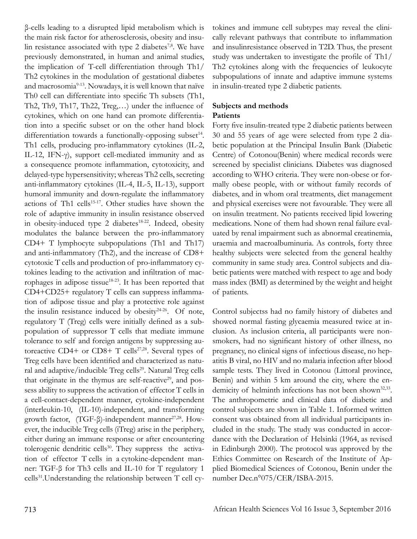β-cells leading to a disrupted lipid metabolism which is the main risk factor for atherosclerosis, obesity and insulin resistance associated with type 2 diabetes<sup>7,8</sup>. We have previously demonstrated, in human and animal studies, the implication of T-cell differentiation through Th1/ Th2 cytokines in the modulation of gestational diabetes and macrosomia<sup>9-13</sup>. Nowadays, it is well known that naïve Th0 cell can differentiate into specific Th subsets (Th1, Th2, Th9, Th17, Th22, Treg,…) under the influence of cytokines, which on one hand can promote differentiation into a specific subset or on the other hand block differentiation towards a functionally-opposing subset<sup>14</sup>. Th1 cells, producing pro-inflammatory cytokines (IL-2, IL-12, IFN-γ), support cell-mediated immunity and as a consequence promote inflammation, cytotoxicity, and delayed-type hypersensitivity; whereas Th2 cells, secreting anti-inflammatory cytokines (IL-4, IL-5, IL-13), support humoral immunity and down-regulate the inflammatory actions of Th1 cells<sup>15-17</sup>. Other studies have shown the role of adaptive immunity in insulin resistance observed in obesity-induced type 2 diabetes<sup>18-22</sup>. Indeed, obesity modulates the balance between the pro-inflammatory CD4+ T lymphocyte subpopulations (Th1 and Th17) and anti-inflammatory (Th2), and the increase of CD8+ cytotoxic T cells and production of pro-inflammatory cytokines leading to the activation and infiltration of macrophages in adipose tissue<sup>18-23</sup>. It has been reported that CD4+CD25+ regulatory T cells can suppress inflammation of adipose tissue and play a protective role against the insulin resistance induced by obesity $24-26$ . Of note, regulatory T (Treg) cells were initially defined as a subpopulation of suppressor T cells that mediate immune tolerance to self and foreign antigens by suppressing autoreactive CD4+ or CD8+ T cells<sup>27,28</sup>. Several types of Treg cells have been identified and characterized as natural and adaptive/inducible Treg cells<sup>29</sup>. Natural Treg cells that originate in the thymus are self-reactive<sup>29</sup>, and possess ability to suppress the activation of effector T cells in a cell-contact-dependent manner, cytokine-independent (interleukin-10, (IL-10)-independent, and transforming growth factor,  $(TGF-β)$ -independent manner<sup>27,28</sup>. However, the inducible Treg cells (iTreg) arise in the periphery, either during an immune response or after encountering tolerogenic dendritic cells<sup>30</sup>. They suppress the activation of effector T cells in a cytokine-dependent manner: TGF-β for Th3 cells and IL-10 for T regulatory 1 cells31.Understanding the relationship between T cell cy-

tokines and immune cell subtypes may reveal the clinically relevant pathways that contribute to inflammation and insulinresistance observed in T2D. Thus, the present study was undertaken to investigate the profile of Th1/ Th2 cytokines along with the frequencies of leukocyte subpopulations of innate and adaptive immune systems in insulin-treated type 2 diabetic patients.

#### **Subjects and methods Patients**

Forty five insulin-treated type 2 diabetic patients between 30 and 55 years of age were selected from type 2 diabetic population at the Principal Insulin Bank (Diabetic Centre) of Cotonou(Benin) where medical records were screened by specialist clinicians. Diabetes was diagnosed according to WHO criteria. They were non-obese or formally obese people, with or without family records of diabetes, and in whom oral treatments, diet management and physical exercises were not favourable. They were all on insulin treatment. No patients received lipid lowering medications. None of them had shown renal failure evaluated by renal impairment such as abnormal creatinemia, uraemia and macroalbuminuria. As controls, forty three healthy subjects were selected from the general healthy community in same study area. Control subjects and diabetic patients were matched with respect to age and body mass index (BMI) as determined by the weight and height of patients.

Control subjectss had no family history of diabetes and showed normal fasting glycaemia measured twice at inclusion. As inclusion criteria, all participants were nonsmokers, had no significant history of other illness, no pregnancy, no clinical signs of infectious disease, no hepatitis B viral, no HIV and no malaria infection after blood sample tests. They lived in Cotonou (Littoral province, Benin) and within 5 km around the city, where the endemicity of helminth infections has not been shown<sup>32,33</sup>. The anthropometric and clinical data of diabetic and control subjects are shown in Table 1. Informed written consent was obtained from all individual participants included in the study. The study was conducted in accordance with the Declaration of Helsinki (1964, as revised in Edinburgh 2000). The protocol was approved by the Ethics Committee on Research of the Institute of Applied Biomedical Sciences of Cotonou, Benin under the number Dec.n°075/CER/ISBA-2015.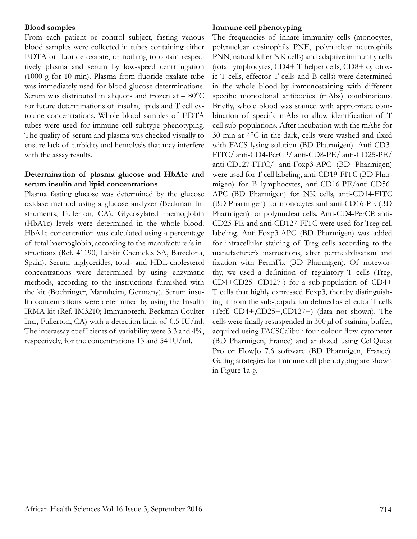#### **Blood samples**

From each patient or control subject, fasting venous blood samples were collected in tubes containing either EDTA or fluoride oxalate, or nothing to obtain respectively plasma and serum by low-speed centrifugation (1000 g for 10 min). Plasma from fluoride oxalate tube was immediately used for blood glucose determinations. Serum was distributed in aliquots and frozen at  $-80^{\circ}$ C for future determinations of insulin, lipids and T cell cytokine concentrations. Whole blood samples of EDTA tubes were used for immune cell subtype phenotyping. The quality of serum and plasma was checked visually to ensure lack of turbidity and hemolysis that may interfere with the assay results.

## **Determination of plasma glucose and HbA1c and serum insulin and lipid concentrations**

Plasma fasting glucose was determined by the glucose oxidase method using a glucose analyzer (Beckman Instruments, Fullerton, CA). Glycosylated haemoglobin (HbA1c) levels were determined in the whole blood. HbA1c concentration was calculated using a percentage of total haemoglobin, according to the manufacturer's instructions (Ref. 41190, Labkit Chemelex SA, Barcelona, Spain). Serum triglycerides, total- and HDL-cholesterol concentrations were determined by using enzymatic methods, according to the instructions furnished with the kit (Boehringer, Mannheim, Germany). Serum insulin concentrations were determined by using the Insulin IRMA kit (Ref. IM3210; Immunotech, Beckman Coulter Inc., Fullerton, CA) with a detection limit of 0.5 IU/ml. The interassay coefficients of variability were 3.3 and 4%, respectively, for the concentrations 13 and 54 IU/ml.

#### **Immune cell phenotyping**

The frequencies of innate immunity cells (monocytes, polynuclear eosinophils PNE, polynuclear neutrophils PNN, natural killer NK cells) and adaptive immunity cells (total lymphocytes, CD4+ T helper cells, CD8+ cytotoxic T cells, effector T cells and B cells) were determined in the whole blood by immunostaining with different specific monoclonal antibodies (mAbs) combinations. Briefly, whole blood was stained with appropriate combination of specific mAbs to allow identification of T cell sub-populations. After incubation with the mAbs for 30 min at 4°C in the dark, cells were washed and fixed with FACS lysing solution (BD Pharmigen). Anti-CD3- FITC/ anti-CD4-PerCP/ anti-CD8-PE/ anti-CD25-PE/ anti-CD127-FITC/ anti-Foxp3-APC (BD Pharmigen) were used for T cell labeling, anti-CD19-FITC (BD Pharmigen) for B lymphocytes, anti-CD16-PE/anti-CD56- APC (BD Pharmigen) for NK cells, anti-CD14-FITC (BD Pharmigen) for monocytes and anti-CD16-PE (BD Pharmigen) for polynuclear cells. Anti-CD4-PerCP, anti-CD25-PE and anti-CD127-FITC were used for Treg cell labeling. Anti-Foxp3-APC (BD Pharmigen) was added for intracellular staining of Treg cells according to the manufacturer's instructions, after permeabilisation and fixation with PermFix (BD Pharmigen). Of noteworthy, we used a definition of regulatory T cells (Treg, CD4+CD25+CD127-) for a sub-population of CD4+ T cells that highly expressed Foxp3, thereby distinguishing it from the sub-population defined as effector T cells (Teff, CD4+,CD25+,CD127+) (data not shown). The cells were finally resuspended in 300 µl of staining buffer, acquired using FACSCalibur four-colour flow cytometer (BD Pharmigen, France) and analyzed using CellQuest Pro or FlowJo 7.6 software (BD Pharmigen, France). Gating strategies for immune cell phenotyping are shown in Figure 1a-g.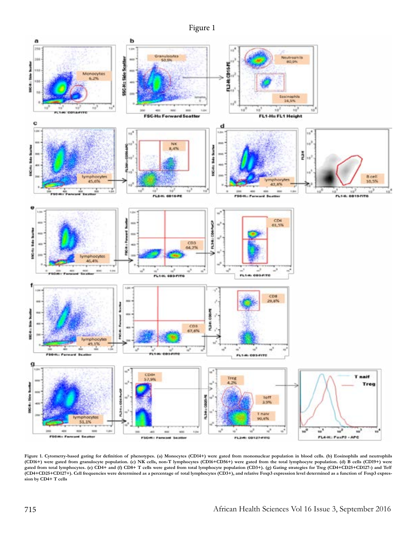



**Figure 1. Cytometry-based gating for definition of phenotypes. (a) Monocytes (CD14+) were gated from mononuclear population in blood cells. (b) Eosinophils and neutrophils (CD16+) were gated from granulocyte population. (c) NK cells, non-T lymphocytes (CD16+CD56+) were gated from the total lymphocyte population. (d) B cells (CD19+) were gated from total lymphocytes. (e) CD4+ and (f) CD8+ T cells were gated from total lymphocyte population (CD3+). (g) Gating strategies for Treg (CD4+CD25+CD127-) and Teff (CD4+CD25+CD127+). Cell frequencies were determined as a percentage of total lymphocytes (CD3+), and relative Foxp3 expression level determined as a function of Foxp3 expression by CD4+ T cells**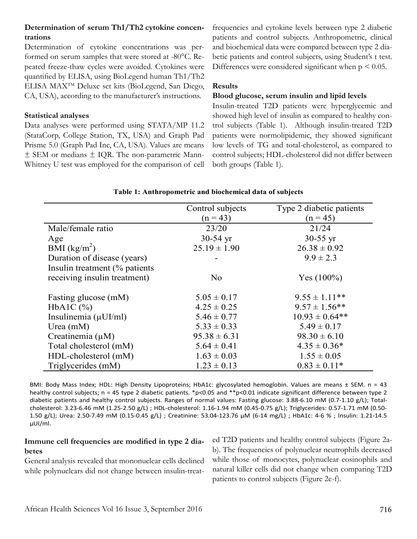## **Determination of serum Th1/Th2 cytokine concentrations**

Determination of cytokine concentrations was performed on serum samples that were stored at -80°C. Repeated freeze-thaw cycles were avoided. Cytokines were quantified by ELISA, using BioLegend human Th1/Th2 ELISA MAXTM Deluxe set kits (BioLegend, San Diego, CA, USA), according to the manufacturer's instructions.

#### **Statistical analyses**

Data analyses were performed using STATA/MP 11.2 (StataCorp, College Station, TX, USA) and Graph Pad Prisme 5.0 (Graph Pad Inc, CA, USA). Values are means ± SEM or medians ± IQR. The non-parametric Mann-Whitney U test was employed for the comparison of cell frequencies and cytokine levels between type 2 diabetic patients and control subjects. Anthropometric, clinical and biochemical data were compared between type 2 diabetic patients and control subjects, using Student's t test. Differences were considered significant when  $p \leq 0.05$ .

## **Results**

#### **Blood glucose, serum insulin and lipid levels**

Insulin-treated T2D patients were hyperglycemic and showed high level of insulin as compared to healthy control subjects (Table 1). Although insulin-treated T2D patients were normolipidemic, they showed significant low levels of TG and total-cholesterol, as compared to control subjects; HDL-cholesterol did not differ between both groups (Table 1).

# **Table 1: Anthropometric and biochemical data of subjects**

|                                | Control subjects         | Type 2 diabetic patients |  |
|--------------------------------|--------------------------|--------------------------|--|
|                                | $(n = 45)$<br>$(n = 43)$ |                          |  |
| Male/female ratio              | 23/20                    | 21/24                    |  |
| Age                            | $30-54$ yr               | $30-55 \text{ yr}$       |  |
| BMI $(kg/m^2)$                 | $25.19 \pm 1.90$         | $26.38 \pm 0.92$         |  |
| Duration of disease (years)    |                          | $9.9 \pm 2.3$            |  |
| Insulin treatment (% patients) |                          |                          |  |
| receiving insulin treatment)   | No                       | Yes $(100\%)$            |  |
|                                |                          |                          |  |
| Fasting glucose (mM)           | $5.05 \pm 0.17$          | $9.55 \pm 1.11$ **       |  |
| $HbA1C$ $(\% )$                | $4.25 \pm 0.25$          | $9.57 \pm 1.56$ **       |  |
| Insulinemia $(\mu U I/ml)$     | $5.46 \pm 0.77$          | $10.93 \pm 0.64$ **      |  |
| Urea $(mM)$                    | $5.33 \pm 0.33$          | $5.49 \pm 0.17$          |  |
| Creatinemia $(\mu M)$          | $95.38 \pm 6.31$         | $98.30 \pm 6.10$         |  |
| Total cholesterol (mM)         | $5.64 \pm 0.41$          | $4.35 \pm 0.36*$         |  |
| HDL-cholesterol (mM)           | $1.63 \pm 0.03$          | $1.55 \pm 0.05$          |  |
| Triglycerides (mM)             | $1.23 \pm 0.13$          | $0.83 \pm 0.11*$         |  |

BMI: Body Mass Index; HDL: High Density Lipoproteins; HbA1c: glycosylated hemoglobin. Values are means ± SEM. n = 43 healthy control subjects; n = 45 type 2 diabetic patients. \*p<0.05 and \*\*p<0.01 indicate significant difference between type 2 diabetic patients and healthy control subjects. Ranges of normal values: Fasting glucose: 3.88-6.10 mM (0.7-1.10 g/L); Totalcholesterol: 3.23-6.46 mM (1.25-2.50 g/L) ; HDL-cholesterol: 1.16-1.94 mM (0.45-0.75 g/L); Triglycerides: 0.57-1.71 mM (0.50- 1.50 g/L); Urea: 2.50-7.49 mM (0.15-0.45 g/L) ; Creatinine: 53.04-123.76 µM (6-14 mg/L) ; HbA1c: 4-6 % ; Insulin: 1.21-14.5 μUI/ml.

## **Immune cell frequencies are modified in type 2 diabetes**

General analysis revealed that mononuclear cells declined while polynuclears did not change between insulin-treated T2D patients and healthy control subjects (Figure 2ab). The frequencies of polynuclear neutrophils decreased while those of monocytes, polynuclear eosinophils and natural killer cells did not change when comparing T2D patients to control subjects (Figure 2c-f).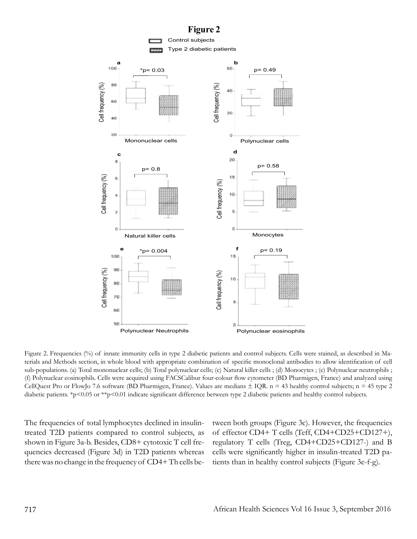

Figure 2. Frequencies (%) of innate immunity cells in type 2 diabetic patients and control subjects. Cells were stained, as described in Materials and Methods section, in whole blood with appropriate combination of specific monoclonal antibodies to allow identification of cell sub-populations. (a) Total mononuclear cells; (b) Total polynuclear cells; (c) Natural killer cells ; (d) Monocytes ; (e) Polynuclear neutrophils ; (f) Polynuclear eosinophils. Cells were acquired using FACSCalibur four-colour flow cytometer (BD Pharmigen, France) and analyzed using CellQuest Pro or FlowJo 7.6 software (BD Pharmigen, France). Values are medians  $\pm$  IQR. n = 43 healthy control subjects; n = 45 type 2 diabetic patients. \*p<0.05 or \*\*p<0.01 indicate significant difference between type 2 diabetic patients and healthy control subjects.

The frequencies of total lymphocytes declined in insulintreated T2D patients compared to control subjects, as shown in Figure 3a-b. Besides, CD8+ cytotoxic T cell frequencies decreased (Figure 3d) in T2D patients whereas there was no change in the frequency of CD4+ Th cells between both groups (Figure 3c). However, the frequencies of effector CD4+ T cells (Teff, CD4+CD25+CD127+), regulatory T cells (Treg, CD4+CD25+CD127-) and B cells were significantly higher in insulin-treated T2D patients than in healthy control subjects (Figure 3e-f-g).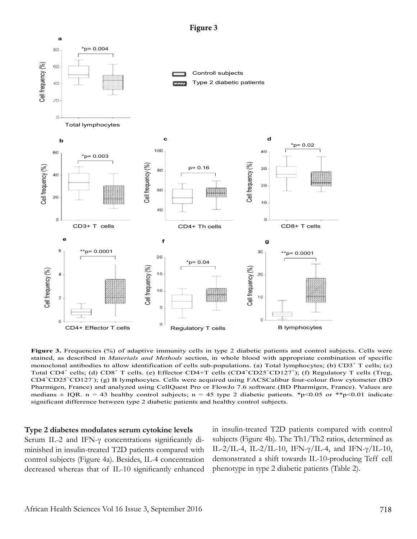**Figure 3**



**Figure 3.** Frequencies (%) of adaptive immunity cells in type 2 diabetic patients and control subjects. Cells were stained, as described in *Materials and Methods* section, in whole blood with appropriate combination of specific monoclonal antibodies to allow identification of cells sub-populations. (a) Total lymphocytes; (b)  $CD3<sup>+</sup>$  T cells; (c) Total CD4<sup>+</sup> cells; (d) CD8<sup>+</sup> T cells. (e) Effector CD4+T cells (CD4<sup>+</sup>CD25<sup>+</sup>CD127<sup>+</sup>); (f) Regulatory T cells (Treg, CD4<sup>+</sup>CD25<sup>+</sup>CD127<sup>-</sup>); (g) B lymphocytes. Cells were acquired using FACSCalibur four-colour flow cytometer (BD Pharmigen, France) and analyzed using CellQuest Pro or FlowJo 7.6 software (BD Pharmigen, France). Values are medians  $\pm$  IQR. n = 43 healthy control subjects; n = 45 type 2 diabetic patients. \*p<0.05 or \*\*p<0.01 indicate significant difference between type 2 diabetic patients and healthy control subjects.

#### **Type 2 diabetes modulates serum cytokine levels**

Serum IL-2 and IFN-γ concentrations significantly diminished in insulin-treated T2D patients compared with control subjects (Figure 4a). Besides, IL-4 concentration decreased whereas that of IL-10 significantly enhanced in insulin-treated T2D patients compared with control subjects (Figure 4b). The Th1/Th2 ratios, determined as IL-2/IL-4, IL-2/IL-10, IFN- $\gamma$ /IL-4, and IFN- $\gamma$ /IL-10, demonstrated a shift towards IL-10-producing Teff cell phenotype in type 2 diabetic patients (Table 2).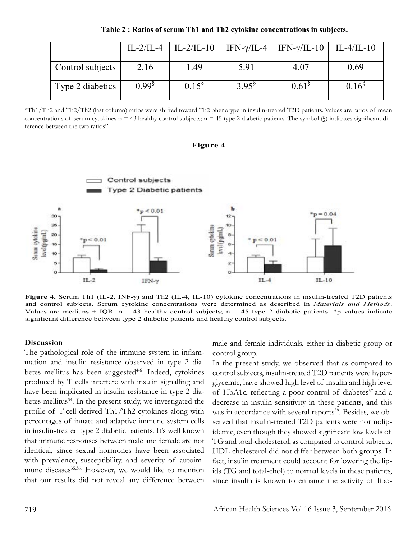**Table 2 : Ratios of serum Th1 and Th2 cytokine concentrations in subjects.**

|                  |                   | $IL-2/IL-4$   $IL-2/IL-10$ | IFN- $\gamma$ /IL-4  | IFN- $\gamma$ /IL-10   IL-4/IL-10 |                   |
|------------------|-------------------|----------------------------|----------------------|-----------------------------------|-------------------|
| Control subjects | 2.16              | 1.49                       | 5.91                 | 4.07                              | 0.69              |
| Type 2 diabetics | 0.99 <sup>§</sup> | 0.15 <sup>§</sup>          | $3.95^{\frac{8}{3}}$ | 0.61 <sup>8</sup>                 | 0.16 <sup>8</sup> |

"Th1/Th2 and Th2/Th2 (last column) ratios were shifted toward Th2 phenotype in insulin-treated T2D patients. Values are ratios of mean concentrations of serum cytokines  $n = 43$  healthy control subjects;  $n = 45$  type 2 diabetic patients. The symbol  $\mathcal{S}$  indicates significant difference between the two ratios".

#### **Figure 4**



**Figure 4.** Serum Th1 (IL-2, INF-γ) and Th2 (IL-4, IL-10) cytokine concentrations in insulin-treated T2D patients and control subjects. Serum cytokine concentrations were determined as described in *Materials and Methods*. Values are medians  $\pm$  IQR. n = 43 healthy control subjects; n = 45 type 2 diabetic patients. \*p values indicate significant difference between type 2 diabetic patients and healthy control subjects.

#### **Discussion**

The pathological role of the immune system in inflammation and insulin resistance observed in type 2 diabetes mellitus has been suggested<sup>4-6</sup>. Indeed, cytokines produced by T cells interfere with insulin signalling and have been implicated in insulin resistance in type 2 diabetes mellitus<sup>34</sup>. In the present study, we investigated the profile of T-cell derived Th1/Th2 cytokines along with percentages of innate and adaptive immune system cells in insulin-treated type 2 diabetic patients. It's well known that immune responses between male and female are not identical, since sexual hormones have been associated with prevalence, susceptibility, and severity of autoimmune diseases<sup>35,36.</sup> However, we would like to mention that our results did not reveal any difference between

male and female individuals, either in diabetic group or control group.

In the present study, we observed that as compared to control subjects, insulin-treated T2D patients were hyperglycemic, have showed high level of insulin and high level of HbA1c, reflecting a poor control of diabetes<sup>37</sup> and a decrease in insulin sensitivity in these patients, and this was in accordance with several reports<sup>38</sup>. Besides, we observed that insulin-treated T2D patients were normolipidemic, even though they showed significant low levels of TG and total-cholesterol, as compared to control subjects; HDL-cholesterol did not differ between both groups. In fact, insulin treatment could account for lowering the lipids (TG and total-chol) to normal levels in these patients, since insulin is known to enhance the activity of lipo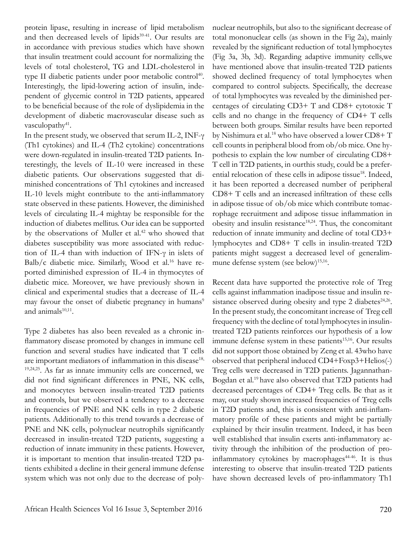protein lipase, resulting in increase of lipid metabolism and then decreased levels of lipids<sup>39-41</sup>. Our results are in accordance with previous studies which have shown that insulin treatment could account for normalizing the levels of total cholesterol, TG and LDL-cholesterol in type II diabetic patients under poor metabolic control<sup>40</sup>. Interestingly, the lipid-lowering action of insulin, independent of glycemic control in T2D patients, appeared to be beneficial because of the role of dyslipidemia in the development of diabetic macrovascular disease such as vasculopathy<sup>41</sup>.

In the present study, we observed that serum IL-2, INF-γ (Th1 cytokines) and IL-4 (Th2 cytokine) concentrations were down-regulated in insulin-treated T2D patients. Interestingly, the levels of IL-10 were increased in these diabetic patients. Our observations suggested that diminished concentrations of Th1 cytokines and increased IL-10 levels might contribute to the anti-inflammatory state observed in these patients. However, the diminished levels of circulating IL-4 mightay be responsible for the induction of diabetes mellitus. Our idea can be supported by the observations of Muller et al.<sup>42</sup> who showed that diabetes susceptibility was more associated with reduction of IL-4 than with induction of IFN-γ in islets of Balb/c diabetic mice. Similarly, Wood et al.<sup>16</sup> have reported diminished expression of IL-4 in thymocytes of diabetic mice. Moreover, we have previously shown in clinical and experimental studies that a decrease of IL-4 may favour the onset of diabetic pregnancy in humans<sup>9</sup> and animals $10,11$ .

Type 2 diabetes has also been revealed as a chronic inflammatory disease promoted by changes in immune cell function and several studies have indicated that T cells are important mediators of inflammation in this disease<sup>18,</sup> 19,24,25. As far as innate immunity cells are concerned, we did not find significant differences in PNE, NK cells, and monocytes between insulin-treated T2D patients and controls, but we observed a tendency to a decrease in frequencies of PNE and NK cells in type 2 diabetic patients. Additionally to this trend towards a decrease of PNE and NK cells, polynuclear neutrophils significantly decreased in insulin-treated T2D patients, suggesting a reduction of innate immunity in these patients. However, it is important to mention that insulin-treated T2D patients exhibited a decline in their general immune defense system which was not only due to the decrease of polynuclear neutrophils, but also to the significant decrease of total mononuclear cells (as shown in the Fig 2a), mainly revealed by the significant reduction of total lymphocytes (Fig 3a, 3b, 3d). Regarding adaptive immunity cells,we have mentioned above that insulin-treated T2D patients showed declined frequency of total lymphocytes when compared to control subjects. Specifically, the decrease of total lymphocytes was revealed by the diminished percentages of circulating CD3+ T and CD8+ cytotoxic T cells and no change in the frequency of CD4+ T cells between both groups. Similar results have been reported by Nishimura et al.<sup>18</sup> who have observed a lower CD8+ T cell counts in peripheral blood from ob/ob mice. One hypothesis to explain the low number of circulating CD8+ T cell in T2D patients, in ourthis study, could be a preferential relocation of these cells in adipose tissue<sup>18</sup>. Indeed, it has been reported a decreased number of peripheral CD8+ T cells and an increased infiltration of these cells in adipose tissue of ob/ob mice which contribute tomacrophage recruitment and adipose tissue inflammation in obesity and insulin resistance<sup>18,24</sup>. Thus, the concomitant reduction of innate immunity and decline of total CD3+ lymphocytes and CD8+ T cells in insulin-treated T2D patients might suggest a decreased level of generalimmune defense system (see below)<sup>15,16</sup>.

Recent data have supported the protective role of Treg cells against inflammation inadipose tissue and insulin resistance observed during obesity and type 2 diabetes $24,26$ . In the present study, the concomitant increase of Treg cell frequency with the decline of total lymphocytes in insulintreated T2D patients reinforces our hypothesis of a low immune defense system in these patients $15,16$ . Our results did not support those obtained by Zeng et al. 43who have observed that peripheral induced CD4+Foxp3+Helios(-) Treg cells were decreased in T2D patients. Jagannathan-Bogdan et al.19 have also observed that T2D patients had decreased percentages of CD4+ Treg cells. Be that as it may, our study shown increased frequencies of Treg cells in T2D patients and, this is consistent with anti-inflammatory profile of these patients and might be partially explained by their insulin treatment. Indeed, it has been well established that insulin exerts anti-inflammatory activity through the inhibition of the production of proinflammatory cytokines by macrophages $44-46$ . It is thus interesting to observe that insulin-treated T2D patients have shown decreased levels of pro-inflammatory Th1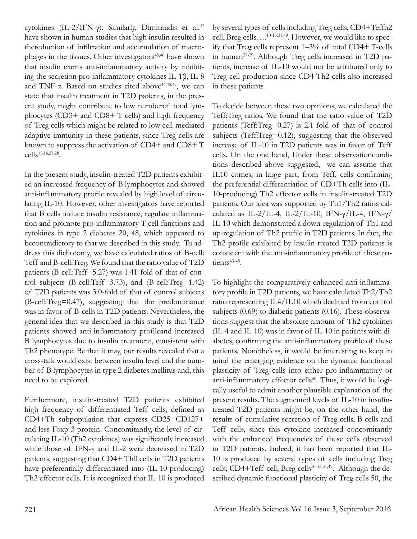cytokines (IL-2/IFN-γ). Similarly, Dimitriadis et al.<sup>47</sup> have shown in human studies that high insulin resulted in thereduction of infiltration and accumulation of macrophages in the tissues. Other investigators<sup>45,46</sup> have shown that insulin exerts anti-inflammatory activity by inhibiting the secretion pro-inflammatory cytokines IL-1β, IL-8 and TNF-α. Based on studies cited above<sup>44,45,47</sup>, we can state that insulin treatment in T2D patients, in the present study, might contribute to low numberof total lymphocytes (CD3+ and CD8+ T cells) and high frequency of Treg cells which might be related to low cell-mediated adaptive immunity in these patients, since Treg cells are known to suppress the activation of CD4+ and CD8+ T cells<sup>15,16,27,28</sup>.

In the present study, insulin-treated T2D patients exhibited an increased frequency of B lymphocytes and showed anti-inflammatory profile revealed by high level of circulating IL-10. However, other investigators have reported that B cells induce insulin resistance, regulate inflammation and promote pro-inflammatory T cell functions and cytokines in type 2 diabetes 20, 48, which appeared to becontradictory to that we described in this study. To address this dichotomy, we have calculated ratios of B-cell: Teff and B-cell:Treg. We found that the ratio value of T2D patients (B-cell:Teff=5.27) was 1.41-fold of that of control subjects (B-cell:Teff=3.73), and (B-cell:Treg=1.42) of T2D patients was 3.0-fold of that of control subjects (B-cell:Treg=0.47), suggesting that the predominance was in favor of B-cells in T2D patients. Nevertheless, the general idea that we described in this study is that T2D patients showed anti-inflammatory profileand increased B lymphocytes due to insulin treatment, consistent with Th2 phenotype. Be that it may, our results revealed that a cross-talk would exist between insulin level and the number of B lymphocytes in type 2 diabetes mellitus and, this need to be explored.

Furthermore, insulin-treated T2D patients exhibited high frequency of differentiated Teff cells, defined as CD4+Th subpopulation that express CD25+CD127+ and less Foxp-3 protein. Concomitantly, the level of circulating IL-10 (Th2 cytokines) was significantly increased while those of IFN-γ and IL-2 were decreased in T2D patients, suggesting that CD4+ Th0 cells in T2D patients have preferentially differentiated into (IL-10-producing) Th2 effector cells. It is recognized that IL-10 is produced by several types of cells including Treg cells, CD4+Teffh2 cell, Breg cells….10-13,31,49. However, we would like to specify that Treg cells represent 1–3% of total CD4+ T-cells in human27-29. Although Treg cells increased in T2D patients, increase of IL-10 would not be attributed only to Treg cell production since CD4 Th2 cells also increased in these patients.

To decide between these two opinions, we calculated the Teff:Treg ratios. We found that the ratio value of T2D patients (Teff:Treg=0.27) is 2.1-fold of that of control subjects (Teff:Treg=0.12), suggesting that the observed increase of IL-10 in T2D patients was in favor of Teff cells. On the one hand, Under these observationconditions described above suggested, we can assume that IL10 comes, in large part, from Teff, cells confirming the preferential differentiation of CD+Th cells into (IL-10-producing) Th2 effector cells in insulin-treated T2D patients. Our idea was supported by Th1/Th2 ratios calculated as IL-2/IL-4, IL-2/IL-10, IFN- $\gamma$ /IL-4, IFN- $\gamma$ / IL-10 which demonstrated a down-regulation of Th1 and up-regulation of Th2 profile in T2D patients. In fact, the Th2 profile exhibited by insulin-treated T2D patients is consistent with the anti-inflammatory profile of these patients<sup>43-45</sup>.

To highlight the comparatively enhanced anti-inflammatory profile in T2D patients, we have calculated Th2/Th2 ratio representing IL4/IL10 which declined from control subjects (0.69) to diabetic patients (0.16). These observations suggest that the absolute amount of Th2 cytokines (IL-4 and IL-10) was in favor of IL-10 in patients with diabetes, confirming the anti-inflammatory profile of these patients. Nonetheless, it would be interesting to keep in mind the emerging evidence on the dynamic functional plasticity of Treg cells into either pro-inflammatory or anti-inflammatory effector cells<sup>50</sup>. Thus, it would be logically useful to admit another plausible explanation of the present results. The augmented levels of IL-10 in insulintreated T2D patients might be, on the other hand, the results of cumulative secretion of Treg cells, B cells and Teff cells, since this cytokine increased concomitantly with the enhanced frequencies of these cells observed in T2D patients. Indeed, it has been reported that IL-10 is produced by several types of cells including Treg cells, CD4+Teff cell, Breg cells<sup>10-13,31,49</sup>. Although the described dynamic functional plasticity of Treg cells 50, the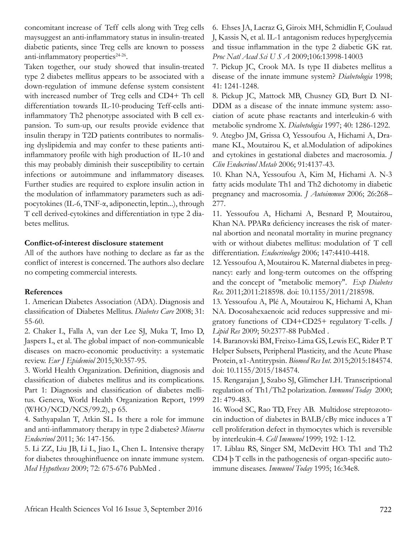concomitant increase of Teff cells along with Treg cells maysuggest an anti-inflammatory status in insulin-treated diabetic patients, since Treg cells are known to possess anti-inflammatory properties<sup>24-26</sup>.

Taken together, our study showed that insulin-treated type 2 diabetes mellitus appears to be associated with a down-regulation of immune defense system consistent with increased number of Treg cells and CD4+ Th cell differentiation towards IL-10-producing Teff-cells antiinflammatory Th2 phenotype associated with B cell expansion. To sum-up, our results provide evidence that insulin therapy in T2D patients contributes to normalising dyslipidemia and may confer to these patients antiinflammatory profile with high production of IL-10 and this may probably diminish their susceptibility to certain infections or autoimmune and inflammatory diseases. Further studies are required to explore insulin action in the modulation of inflammatory parameters such as adipocytokines (IL-6, TNF-α, adiponectin, leptin...), through T cell derived-cytokines and differentiation in type 2 diabetes mellitus.

#### **Conflict-of-interest disclosure statement**

All of the authors have nothing to declare as far as the conflict of interest is concerned. The authors also declare no competing commercial interests.

## **References**

1. American Diabetes Association (ADA). Diagnosis and classification of Diabetes Mellitus. *Diabetes Care* 2008; 31: 55-60.

2. Chaker L, Falla A, van der Lee SJ, Muka T, Imo D, Jaspers L, et al. The global impact of non-communicable diseases on macro-economic productivity: a systematic review. *Eur J Epidemiol* 2015;30:357-95.

3. World Health Organization. Definition, diagnosis and classification of diabetes mellitus and its complications. Part 1: Diagnosis and classification of diabetes mellitus. Geneva, World Health Organization Report, 1999 (WHO/NCD/NCS/99.2), p 65.

4. Sathyapalan T, Atkin SL. Is there a role for immune and anti-inflammatory therapy in type 2 diabetes? *Minerva Endocrinol* 2011; 36: 147-156.

5. Li ZZ, Liu JB, Li L, Jiao L, Chen L. Intensive therapy for diabetes throughinfluence on innate immune system. *Med Hypotheses* 2009; 72: 675-676 PubMed .

6. Ehses JA, Lacraz G, Giroix MH, Schmidlin F, Coulaud J, Kassis N, et al. IL-1 antagonism reduces hyperglycemia and tissue inflammation in the type 2 diabetic GK rat. *Proc Natl Acad Sci U S A* 2009;106:13998-14003

7. Pickup JC, Crook MA. Is type II diabetes mellitus a disease of the innate immune system? *Diabetologia* 1998; 41: 1241-1248.

8. Pickup JC, Mattock MB, Chusney GD, Burt D. NI-DDM as a disease of the innate immune system: association of acute phase reactants and interleukin-6 with metabolic syndrome X. *Diabetologia* 1997; 40: 1286-1292.

9. Ategbo JM, Grissa O, Yessoufou A, Hichami A, Dramane KL, Moutairou K, et al.Modulation of adipokines and cytokines in gestational diabetes and macrosomia. *J Clin Endocrinol Metab* 2006; 91:4137-43.

10. Khan NA, Yessoufou A, Kim M, Hichami A. N-3 fatty acids modulate Th1 and Th2 dichotomy in diabetic pregnancy and macrosomia. *J Autoimmun* 2006; 26:268– 277.

11. Yessoufou A, Hichami A, Besnard P, Moutairou, Khan NA. PPARα deficiency increases the risk of maternal abortion and neonatal mortality in murine pregnancy with or without diabetes mellitus: modulation of T cell differentiation. *Endocrinology* 2006; 147:4410-4418.

12. Yessoufou A, Moutairou K. Maternal diabetes in pregnancy: early and long-term outcomes on the offspring and the concept of "metabolic memory". *Exp Diabetes Res.* 2011;2011:218598. doi: 10.1155/2011/218598.

13. Yessoufou A, Plé A, Moutairou K, Hichami A, Khan NA. Docosahexaenoic acid reduces suppressive and migratory functions of CD4+CD25+ regulatory T-cells. *J Lipid Res* 2009; 50:2377-88 PubMed .

14. Baranovski BM, Freixo-Lima GS, Lewis EC, Rider P. T Helper Subsets, Peripheral Plasticity, and the Acute Phase Protein, α1-Antitrypsin. *Biomed Res Int.* 2015;2015:184574. doi: 10.1155/2015/184574.

15. Rengarajan J, Szabo SJ, Glimcher LH. Transcriptional regulation of Th1/Th2 polarization. *Immunol Today* 2000; 21: 479-483.

16. Wood SC, Rao TD, Frey AB. Multidose streptozotocin induction of diabetes in BALB/cBy mice induces a T cell proliferation defect in thymocytes which is reversible by interleukin-4. *Cell Immunol* 1999; 192: 1-12.

17. Liblau RS, Singer SM, McDevitt HO. Th1 and Th2 CD4 þ T cells in the pathogenesis of organ-specific autoimmune diseases. *Immunol Today* 1995; 16:34e8.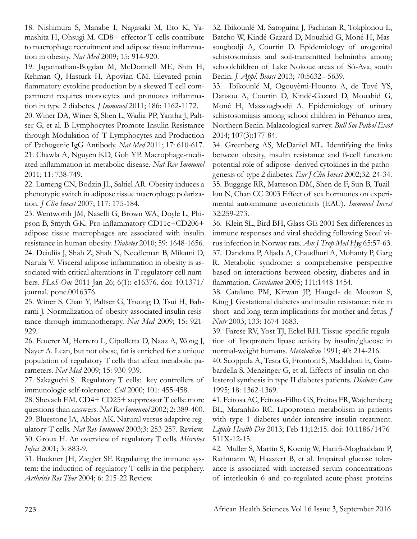18. Nishimura S, Manabe I, Nagasaki M, Eto K, Yamashita H, Ohsugi M. CD8+ effector T cells contribute to macrophage recruitment and adipose tissue inflammation in obesity. *Nat Med* 2009; 15: 914-920.

19. Jagannathan-Bogdan M, McDonnell ME, Shin H, Rehman Q, Hasturk H, Apovian CM. Elevated proinflammatory cytokine production by a skewed T cell compartment requires monocytes and promotes inflammation in type 2 diabetes. *J Immunol* 2011; 186: 1162-1172.

20. Winer DA, Winer S, Shen L, Wadia PP, Yantha J, Paltser G, et al. B Lymphocytes Promote Insulin Resistance through Modulation of T Lymphocytes and Production of Pathogenic IgG Antibody. *Nat Med* 2011; 17: 610-617. 21. Chawla A, Nguyen KD, Goh YP. Macrophage-mediated inflammation in metabolic disease. *Nat Rev Immunol* 2011; 11: 738-749.

22. Lumeng CN, Bodzin JL, Saltiel AR. Obesity induces a phenotypic switch in adipose tissue macrophage polarization. *J Clin Invest* 2007; 117: 175-184.

23. Wentworth JM, Naselli G, Brown WA, Doyle L, Phipson B, Smyth GK. Pro-inflammatory CD11c+CD206+ adipose tissue macrophages are associated with insulin resistance in human obesity. *Diabetes* 2010; 59: 1648-1656. 24. Deiuliis J, Shah Z, Shah N, Needleman B, Mikami D, Narula V. Visceral adipose inflammation in obesity is associated with critical alterations in T regulatory cell numbers. *PLoS One* 2011 Jan 26; 6(1): e16376. doi: 10.1371/ journal. pone.0016376.

25. Winer S, Chan Y, Paltser G, Truong D, Tsui H, Bahrami J. Normalization of obesity-associated insulin resistance through immunotherapy. *Nat Med* 2009; 15: 921- 929.

26. Feuerer M, Herrero L, Cipolletta D, Naaz A, Wong J, Nayer A. Lean, but not obese, fat is enriched for a unique population of regulatory T cells that affect metabolic parameters. *Nat Med* 2009; 15: 930-939.

27. Sakaguchi S. Regulatory T cells: key controllers of immunologic self-tolerance. *Cell* 2000; 101: 455-458.

28. Shevach EM. CD4+ CD25+ suppressor T cells: more questions than answers. *Nat Rev Immunol* 2002; 2: 389-400. 29. Bluestone JA, Abbas AK. Natural versus adaptive regulatory T cells. *Nat Rev Immunol* 2003;3: 253-257. Review. 30. Groux H. An overview of regulatory T cells. *Microbes Infect* 2001; 3: 883-9.

31. Buckner JH, Ziegler SF. Regulating the immune system: the induction of regulatory T cells in the periphery. *Arthritis Res Ther* 2004; 6: 215-22 Review.

32. Ibikounlé M, Satoguina J, Fachinan R, Tokplonou L, Batcho W, Kindé-Gazard D, Mouahid G, Moné H, Massougbodji A, Courtin D. Epidemiology of urogenital schistosomiasis and soil-transmitted helminths among schoolchildren of Lake Nokoue areas of Sô-Ava, south Benin. *J. Appl. Biosci* 2013; 70:5632– 5639.

33. Ibikounlé M, Ogouyèmi-Hounto A, de Tové YS, Dansou A, Courtin D, Kindé-Gazard D, Mouahid G, Moné H, Massougbodji A. Epidemiology of urinary schistosomiasis among school children in Péhunco area, Northern Benin. Malacological survey. *Bull Soc Pathol Exot* 2014; 107(3):177-84.

34. Greenberg AS, McDaniel ML. Identifying the links between obesity, insulin resistance and ß-cell function: potential role of adipose- derived cytokines in the pathogenesis of type 2 diabetes. *Eur J Clin Invest* 2002;32: 24-34. 35. Buggage RR, Matteson DM, Shen de F, Sun B, Tuaillon N, Chan CC 2003 Effect of sex hormones on experimental autoimmune uveoretinitis (EAU). *Immunol Invest* 32:259-273.

36. Klein SL, Bird BH, Glass GE 2001 Sex differences in immune responses and viral shedding following Seoul virus infection in Norway rats. *Am J Trop Med Hyg* 65:57-63. 37. Dandona P, Aljada A, Chaudhuri A, Mohanty P, Garg R. Metabolic syndrome: a comprehensive perspective based on interactions between obesity, diabetes and inflammation. *Circulation* 2005; 111:1448-1454.

38. Catalano PM, Kirwan JP, Haugel- de Mouzon S, King J. Gestational diabetes and insulin resistance: role in short- and long-term implications for mother and fetus. *J Nutr* 2003; 133: 1674-1683.

39. Farese RV, Yost TJ, Eckel RH. Tissue-specific regulation of lipoprotein lipase activity by insulin/glucose in normal-weight humans. *Metabolism* 1991; 40: 214-216.

40. Scoppola A, Testa G, Frontoni S, Maddaloni E, Gambardella S, Menzinger G, et al. Effects of insulin on cholesterol synthesis in type II diabetes patients. *Diabetes Care*  1995; 18: 1362-1369.

41. Feitosa AC, Feitosa-Filho GS, Freitas FR, Wajchenberg BL, Maranhão RC. Lipoprotein metabolism in patients with type 1 diabetes under intensive insulin treatment. *Lipids Health Dis* 2013; Feb 11;12:15. doi: 10.1186/1476- 511X-12-15.

42. Muller S, Martin S, Koenig W, Hanifi-Moghaddam P, Rathmann W, Haastert B, et al. Impaired glucose tolerance is associated with increased serum concentrations of interleukin 6 and co-regulated acute-phase proteins